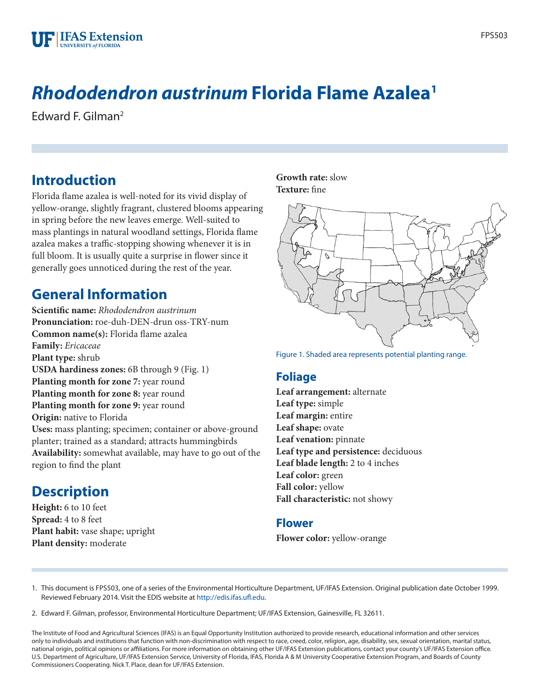

# *Rhododendron austrinum* **Florida Flame Azalea1**

Edward F. Gilman2

#### **Introduction**

Florida flame azalea is well-noted for its vivid display of yellow-orange, slightly fragrant, clustered blooms appearing in spring before the new leaves emerge. Well-suited to mass plantings in natural woodland settings, Florida flame azalea makes a traffic-stopping showing whenever it is in full bloom. It is usually quite a surprise in flower since it generally goes unnoticed during the rest of the year.

#### **General Information**

**Scientific name:** *Rhododendron austrinum* **Pronunciation:** roe-duh-DEN-drun oss-TRY-num **Common name(s):** Florida flame azalea **Family:** *Ericaceae* **Plant type:** shrub **USDA hardiness zones:** 6B through 9 (Fig. 1) **Planting month for zone 7:** year round **Planting month for zone 8:** year round **Planting month for zone 9:** year round **Origin:** native to Florida **Uses:** mass planting; specimen; container or above-ground planter; trained as a standard; attracts hummingbirds **Availability:** somewhat available, may have to go out of the region to find the plant

#### **Description**

**Height:** 6 to 10 feet **Spread:** 4 to 8 feet **Plant habit:** vase shape; upright **Plant density:** moderate

#### **Growth rate:** slow **Texture:** fine



Figure 1. Shaded area represents potential planting range.

#### **Foliage**

**Leaf arrangement:** alternate **Leaf type:** simple **Leaf margin:** entire **Leaf shape:** ovate **Leaf venation:** pinnate **Leaf type and persistence:** deciduous **Leaf blade length:** 2 to 4 inches **Leaf color:** green **Fall color:** yellow **Fall characteristic:** not showy

#### **Flower**

**Flower color:** yellow-orange

1. This document is FPS503, one of a series of the Environmental Horticulture Department, UF/IFAS Extension. Original publication date October 1999. Reviewed February 2014. Visit the EDIS website at<http://edis.ifas.ufl.edu>.

2. Edward F. Gilman, professor, Environmental Horticulture Department; UF/IFAS Extension, Gainesville, FL 32611.

The Institute of Food and Agricultural Sciences (IFAS) is an Equal Opportunity Institution authorized to provide research, educational information and other services only to individuals and institutions that function with non-discrimination with respect to race, creed, color, religion, age, disability, sex, sexual orientation, marital status, national origin, political opinions or affiliations. For more information on obtaining other UF/IFAS Extension publications, contact your county's UF/IFAS Extension office. U.S. Department of Agriculture, UF/IFAS Extension Service, University of Florida, IFAS, Florida A & M University Cooperative Extension Program, and Boards of County Commissioners Cooperating. Nick T. Place, dean for UF/IFAS Extension.